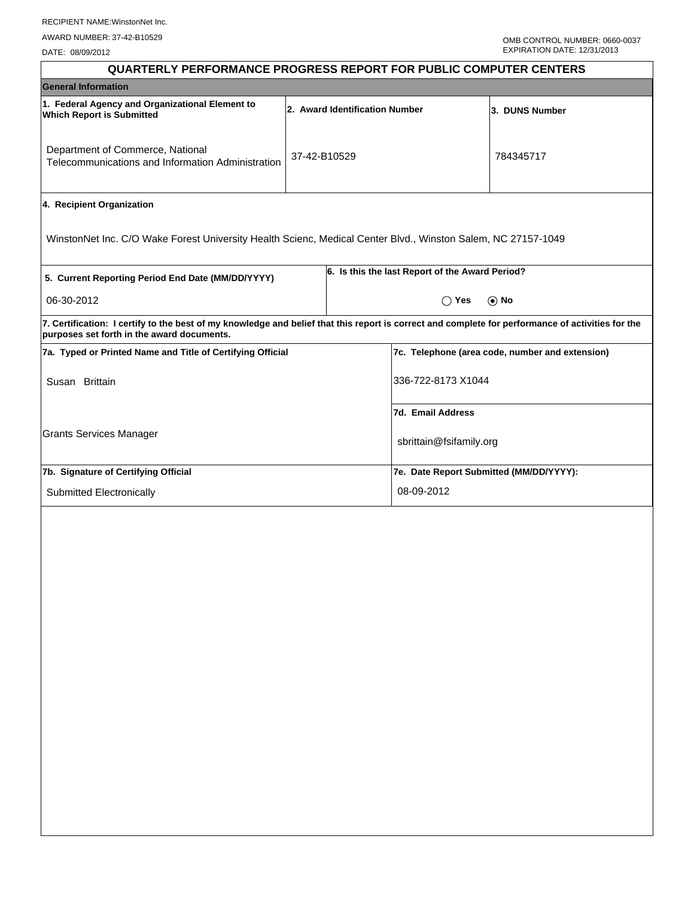DATE: 08/09/2012

| <b>QUARTERLY PERFORMANCE PROGRESS REPORT FOR PUBLIC COMPUTER CENTERS</b>                                                                                                                        |                                |                |                                                 |                                                 |  |  |
|-------------------------------------------------------------------------------------------------------------------------------------------------------------------------------------------------|--------------------------------|----------------|-------------------------------------------------|-------------------------------------------------|--|--|
| <b>General Information</b>                                                                                                                                                                      |                                |                |                                                 |                                                 |  |  |
| 1. Federal Agency and Organizational Element to<br><b>Which Report is Submitted</b>                                                                                                             | 2. Award Identification Number | 3. DUNS Number |                                                 |                                                 |  |  |
| Department of Commerce, National<br>Telecommunications and Information Administration                                                                                                           | 37-42-B10529                   |                |                                                 | 784345717                                       |  |  |
| 4. Recipient Organization                                                                                                                                                                       |                                |                |                                                 |                                                 |  |  |
| WinstonNet Inc. C/O Wake Forest University Health Scienc, Medical Center Blvd., Winston Salem, NC 27157-1049                                                                                    |                                |                |                                                 |                                                 |  |  |
| 5. Current Reporting Period End Date (MM/DD/YYYY)                                                                                                                                               |                                |                | 6. Is this the last Report of the Award Period? |                                                 |  |  |
| 06-30-2012                                                                                                                                                                                      |                                |                | $\bigcirc$ Yes                                  | $\odot$ No                                      |  |  |
| 7. Certification: I certify to the best of my knowledge and belief that this report is correct and complete for performance of activities for the<br>purposes set forth in the award documents. |                                |                |                                                 |                                                 |  |  |
| 7a. Typed or Printed Name and Title of Certifying Official                                                                                                                                      |                                |                |                                                 | 7c. Telephone (area code, number and extension) |  |  |
| Susan Brittain                                                                                                                                                                                  |                                |                | 336-722-8173 X1044                              |                                                 |  |  |
|                                                                                                                                                                                                 |                                |                | 7d. Email Address                               |                                                 |  |  |
| <b>Grants Services Manager</b>                                                                                                                                                                  |                                |                | sbrittain@fsifamily.org                         |                                                 |  |  |
| 7b. Signature of Certifying Official                                                                                                                                                            |                                |                | 7e. Date Report Submitted (MM/DD/YYYY):         |                                                 |  |  |
| Submitted Electronically                                                                                                                                                                        |                                |                | 08-09-2012                                      |                                                 |  |  |
|                                                                                                                                                                                                 |                                |                |                                                 |                                                 |  |  |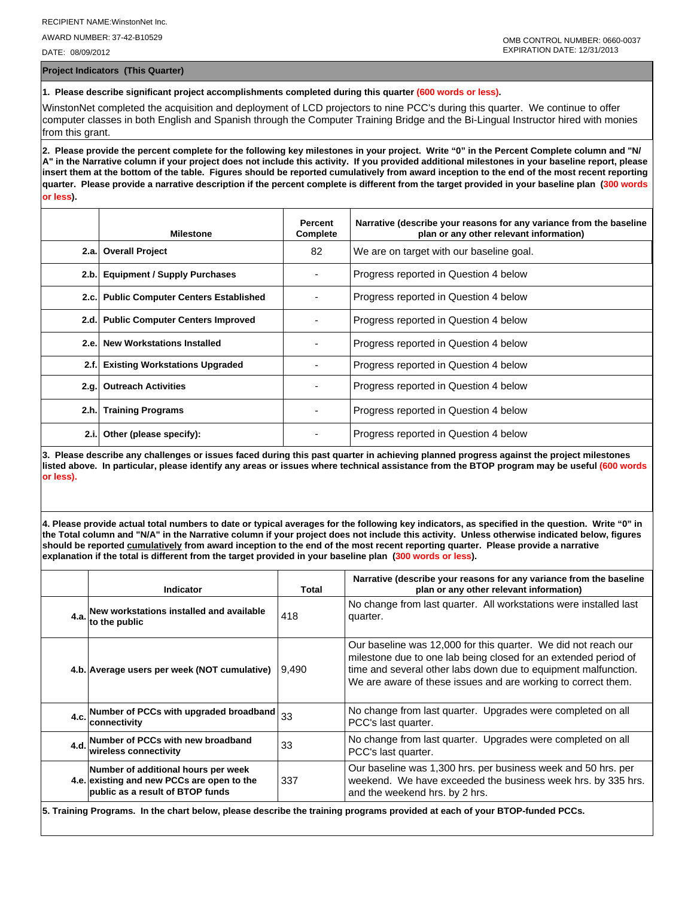AWARD NUMBER: 37-42-B10529

DATE: 08/09/2012

**Project Indicators (This Quarter)**

## **1. Please describe significant project accomplishments completed during this quarter (600 words or less).**

WinstonNet completed the acquisition and deployment of LCD projectors to nine PCC's during this quarter. We continue to offer computer classes in both English and Spanish through the Computer Training Bridge and the Bi-Lingual Instructor hired with monies from this grant.

**2. Please provide the percent complete for the following key milestones in your project. Write "0" in the Percent Complete column and "N/ A" in the Narrative column if your project does not include this activity. If you provided additional milestones in your baseline report, please insert them at the bottom of the table. Figures should be reported cumulatively from award inception to the end of the most recent reporting quarter. Please provide a narrative description if the percent complete is different from the target provided in your baseline plan (300 words or less).**

|      | <b>Milestone</b>                         | Percent<br>Complete | Narrative (describe your reasons for any variance from the baseline<br>plan or any other relevant information) |
|------|------------------------------------------|---------------------|----------------------------------------------------------------------------------------------------------------|
|      | 2.a. Overall Project                     | 82                  | We are on target with our baseline goal.                                                                       |
| 2.b. | <b>Equipment / Supply Purchases</b>      |                     | Progress reported in Question 4 below                                                                          |
|      | 2.c. Public Computer Centers Established |                     | Progress reported in Question 4 below                                                                          |
|      | 2.d. Public Computer Centers Improved    |                     | Progress reported in Question 4 below                                                                          |
| 2.e. | <b>New Workstations Installed</b>        |                     | Progress reported in Question 4 below                                                                          |
| 2.f. | <b>Existing Workstations Upgraded</b>    |                     | Progress reported in Question 4 below                                                                          |
| 2.q. | <b>Outreach Activities</b>               |                     | Progress reported in Question 4 below                                                                          |
|      | 2.h. Training Programs                   |                     | Progress reported in Question 4 below                                                                          |
| 2.i. | Other (please specify):                  |                     | Progress reported in Question 4 below                                                                          |

**3. Please describe any challenges or issues faced during this past quarter in achieving planned progress against the project milestones listed above. In particular, please identify any areas or issues where technical assistance from the BTOP program may be useful (600 words or less).**

**4. Please provide actual total numbers to date or typical averages for the following key indicators, as specified in the question. Write "0" in the Total column and "N/A" in the Narrative column if your project does not include this activity. Unless otherwise indicated below, figures should be reported cumulatively from award inception to the end of the most recent reporting quarter. Please provide a narrative explanation if the total is different from the target provided in your baseline plan (300 words or less).** 

| Indicator                                                                                                             | Total  | Narrative (describe your reasons for any variance from the baseline<br>plan or any other relevant information)                                                                                                                                                       |
|-----------------------------------------------------------------------------------------------------------------------|--------|----------------------------------------------------------------------------------------------------------------------------------------------------------------------------------------------------------------------------------------------------------------------|
| 4.a. New workstations installed and available<br>to the public                                                        | 418    | No change from last quarter. All workstations were installed last<br>quarter.                                                                                                                                                                                        |
| 4.b. Average users per week (NOT cumulative)                                                                          | 19.490 | Our baseline was 12,000 for this quarter. We did not reach our<br>milestone due to one lab being closed for an extended period of<br>time and several other labs down due to equipment malfunction.<br>We are aware of these issues and are working to correct them. |
| 4.c. Number of PCCs with upgraded broadband $33$<br>lconnectivitv                                                     |        | No change from last quarter. Upgrades were completed on all<br>PCC's last quarter.                                                                                                                                                                                   |
| 4.d. Number of PCCs with new broadband<br>wireless connectivity                                                       | 33     | No change from last quarter. Upgrades were completed on all<br>PCC's last quarter.                                                                                                                                                                                   |
| Number of additional hours per week<br>4.e. existing and new PCCs are open to the<br>public as a result of BTOP funds | 337    | Our baseline was 1,300 hrs. per business week and 50 hrs. per<br>weekend. We have exceeded the business week hrs. by 335 hrs.<br>and the weekend hrs. by 2 hrs.                                                                                                      |

**5. Training Programs. In the chart below, please describe the training programs provided at each of your BTOP-funded PCCs.**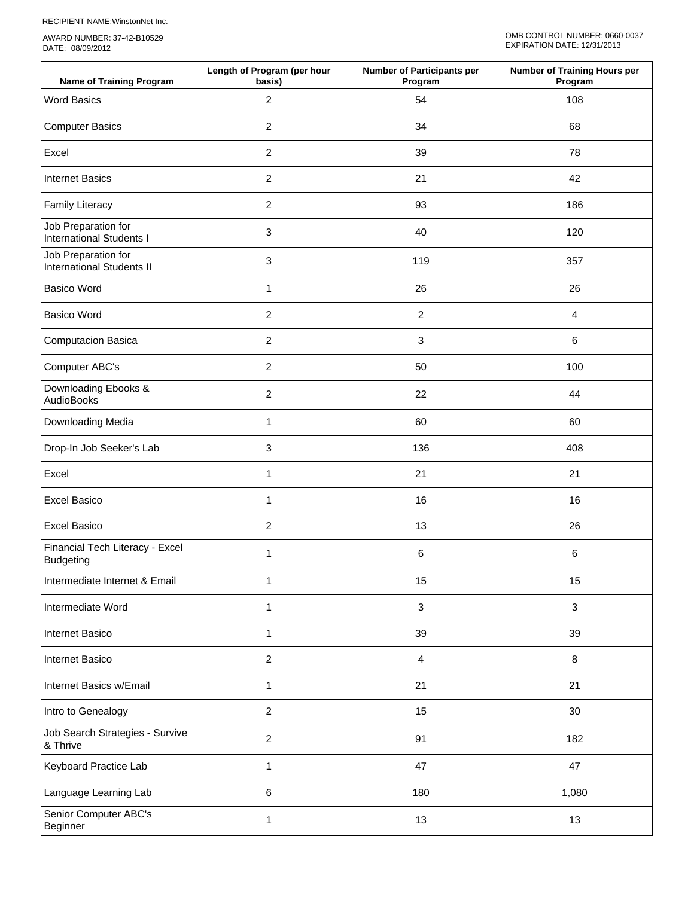RECIPIENT NAME:WinstonNet Inc.

AWARD NUMBER: 37-42-B10529 DATE: 08/09/2012

| <b>Name of Training Program</b>                         | Length of Program (per hour<br>basis) | <b>Number of Participants per</b><br>Program | Number of Training Hours per<br>Program |
|---------------------------------------------------------|---------------------------------------|----------------------------------------------|-----------------------------------------|
| <b>Word Basics</b>                                      | $\overline{2}$                        | 54                                           | 108                                     |
| <b>Computer Basics</b>                                  | $\overline{c}$                        | 34                                           | 68                                      |
| Excel                                                   | $\overline{2}$                        | 39                                           | 78                                      |
| <b>Internet Basics</b>                                  | $\overline{2}$                        | 21                                           | 42                                      |
| <b>Family Literacy</b>                                  | $\overline{c}$                        | 93                                           | 186                                     |
| Job Preparation for<br><b>International Students I</b>  | 3                                     | 40                                           | 120                                     |
| Job Preparation for<br><b>International Students II</b> | 3                                     | 119                                          | 357                                     |
| <b>Basico Word</b>                                      | 1                                     | 26                                           | 26                                      |
| <b>Basico Word</b>                                      | $\overline{2}$                        | $\overline{c}$                               | $\overline{4}$                          |
| Computacion Basica                                      | $\overline{2}$                        | $\mathfrak{S}$                               | $\,6\,$                                 |
| Computer ABC's                                          | $\overline{2}$                        | 50                                           | 100                                     |
| Downloading Ebooks &<br>AudioBooks                      | $\overline{c}$                        | 22                                           | 44                                      |
| Downloading Media                                       | $\mathbf{1}$                          | 60                                           | 60                                      |
| Drop-In Job Seeker's Lab                                | 3                                     | 136                                          | 408                                     |
| Excel                                                   | 1                                     | 21                                           | 21                                      |
| <b>Excel Basico</b>                                     | 1                                     | 16                                           | 16                                      |
| <b>Excel Basico</b>                                     | $\overline{2}$                        | 13                                           | 26                                      |
| Financial Tech Literacy - Excel<br><b>Budgeting</b>     | 1                                     | 6                                            | 6                                       |
| Intermediate Internet & Email                           | 1                                     | 15                                           | 15                                      |
| Intermediate Word                                       | 1                                     | $\mathbf{3}$                                 | 3                                       |
| Internet Basico                                         | 1                                     | 39                                           | 39                                      |
| Internet Basico                                         | $\overline{c}$                        | $\overline{4}$                               | 8                                       |
| Internet Basics w/Email                                 | 1                                     | 21                                           | 21                                      |
| Intro to Genealogy                                      | $\overline{c}$                        | 15                                           | 30                                      |
| Job Search Strategies - Survive<br>& Thrive             | $\overline{2}$                        | 91                                           | 182                                     |
| Keyboard Practice Lab                                   | 1                                     | 47                                           | 47                                      |
| Language Learning Lab                                   | 6                                     | 180                                          | 1,080                                   |
| Senior Computer ABC's<br>Beginner                       | 1                                     | 13                                           | 13                                      |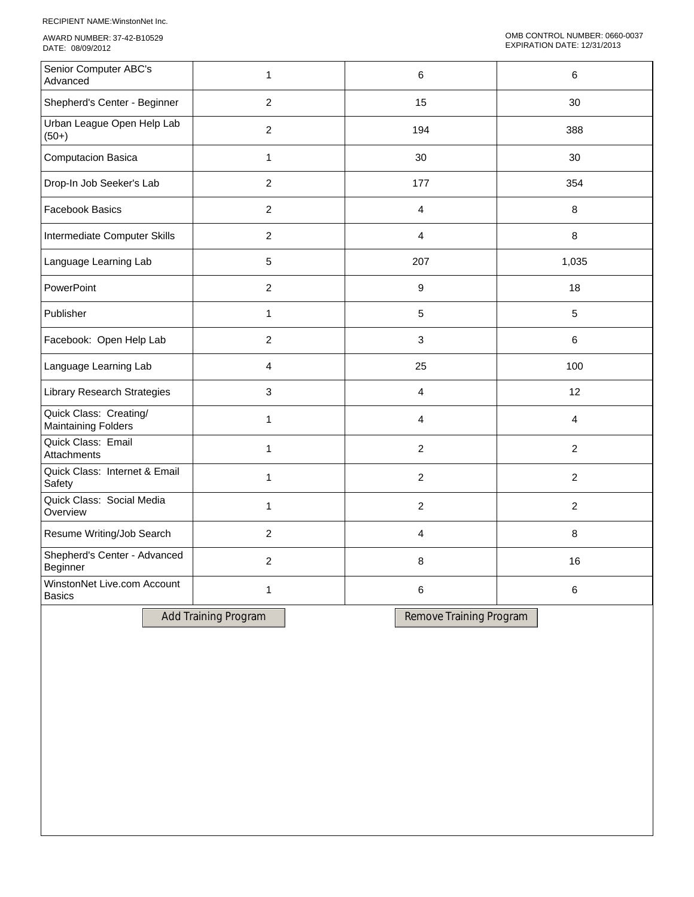RECIPIENT NAME:WinstonNet Inc.

AWARD NUMBER: 37-42-B10529 DATE: 08/09/2012

| Senior Computer ABC's<br>Advanced                    | 1                | 6              | 6              |
|------------------------------------------------------|------------------|----------------|----------------|
| Shepherd's Center - Beginner                         | $\overline{2}$   | 15             | 30             |
| Urban League Open Help Lab<br>$(50+)$                | $\overline{c}$   | 194            | 388            |
| <b>Computacion Basica</b>                            | $\mathbf{1}$     | 30             | 30             |
| Drop-In Job Seeker's Lab                             | $\overline{2}$   | 177            | 354            |
| <b>Facebook Basics</b>                               | $\overline{2}$   | $\overline{4}$ | 8              |
| Intermediate Computer Skills                         | $\overline{2}$   | 4              | 8              |
| Language Learning Lab                                | 5                | 207            | 1,035          |
| PowerPoint                                           | $\overline{c}$   | 9              | 18             |
| Publisher                                            | 1                | 5              | 5              |
| Facebook: Open Help Lab                              | $\boldsymbol{2}$ | 3              | 6              |
| Language Learning Lab                                | $\overline{4}$   | 25             | 100            |
| Library Research Strategies                          | $\mathbf{3}$     | 4              | 12             |
| Quick Class: Creating/<br><b>Maintaining Folders</b> | 1                | 4              | 4              |
| Quick Class: Email<br>Attachments                    | $\mathbf{1}$     | $\overline{2}$ | $\overline{2}$ |
| Quick Class: Internet & Email<br>Safety              | $\mathbf{1}$     | $\overline{2}$ | $\overline{2}$ |
| Quick Class: Social Media<br>Overview                | $\mathbf{1}$     | $\overline{2}$ | $\overline{2}$ |
| Resume Writing/Job Search                            | $\overline{c}$   | 4              | 8              |
| Shepherd's Center - Advanced<br>Beginner             | $\overline{c}$   | 8              | 16             |
| WinstonNet Live.com Account<br><b>Basics</b>         | 1                | 6              | 6              |
|                                                      |                  |                |                |

Add Training Program Remove Training Program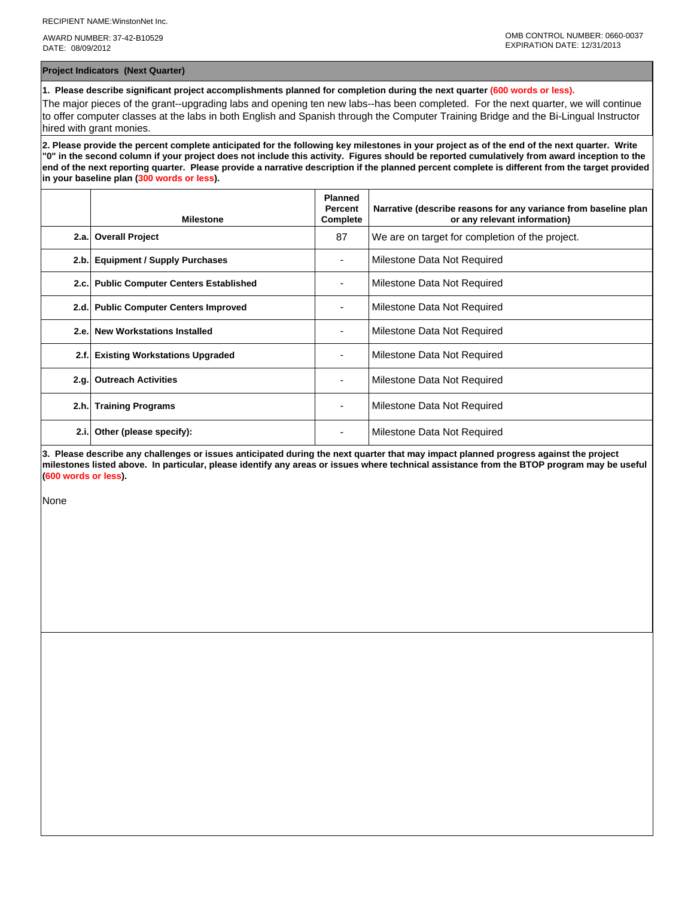AWARD NUMBER: 37-42-B10529 DATE: 08/09/2012

**Project Indicators (Next Quarter)**

**1. Please describe significant project accomplishments planned for completion during the next quarter (600 words or less).**

The major pieces of the grant--upgrading labs and opening ten new labs--has been completed. For the next quarter, we will continue to offer computer classes at the labs in both English and Spanish through the Computer Training Bridge and the Bi-Lingual Instructor hired with grant monies.

**2. Please provide the percent complete anticipated for the following key milestones in your project as of the end of the next quarter. Write "0" in the second column if your project does not include this activity. Figures should be reported cumulatively from award inception to the end of the next reporting quarter. Please provide a narrative description if the planned percent complete is different from the target provided in your baseline plan (300 words or less).**

|      | <b>Milestone</b>                         | <b>Planned</b><br>Percent<br>Complete | Narrative (describe reasons for any variance from baseline plan<br>or any relevant information) |
|------|------------------------------------------|---------------------------------------|-------------------------------------------------------------------------------------------------|
| 2.a. | <b>Overall Project</b>                   | 87                                    | We are on target for completion of the project.                                                 |
| 2.b. | <b>Equipment / Supply Purchases</b>      |                                       | Milestone Data Not Required                                                                     |
|      | 2.c. Public Computer Centers Established |                                       | Milestone Data Not Required                                                                     |
| 2.d. | <b>Public Computer Centers Improved</b>  |                                       | Milestone Data Not Required                                                                     |
|      | 2.e. New Workstations Installed          |                                       | Milestone Data Not Required                                                                     |
| 2.f. | <b>Existing Workstations Upgraded</b>    |                                       | Milestone Data Not Required                                                                     |
| 2.q. | <b>Outreach Activities</b>               |                                       | Milestone Data Not Required                                                                     |
| 2.h. | <b>Training Programs</b>                 | ٠                                     | Milestone Data Not Required                                                                     |
| 2.i. | Other (please specify):                  | ۰                                     | Milestone Data Not Required                                                                     |

**3. Please describe any challenges or issues anticipated during the next quarter that may impact planned progress against the project milestones listed above. In particular, please identify any areas or issues where technical assistance from the BTOP program may be useful (600 words or less).**

None